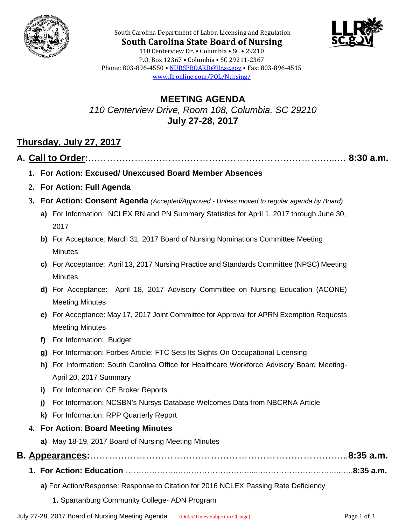



**South Carolina State Board of Nursing** 110 Centerview Dr. • Columbia • SC • 29210 P.O. Box 12367 • Columbia • SC 29211-2367 Phone: 803-896-4550 • [NURSEBOARD@llr.sc.gov](mailto:contactllr@llr.sc.gov) • Fax: 803-896-4515 [www.llronline.com/POL/Nursing/](http://www.llronline.com/POL/Nursing/)

South Carolina Department of Labor, Licensing and Regulation

### **MEETING AGENDA** *110 Centerview Drive, Room 108, Columbia, SC 29210* **July 27-28, 2017**

## **Thursday, July 27, 2017**

### **A. Call to Order:**……………………………………………………………………...… **8:30 a.m.**

- **1. For Action: Excused/ Unexcused Board Member Absences**
- **2. For Action: Full Agenda**
- **3. For Action: Consent Agenda** *(Accepted/Approved - Unless moved to regular agenda by Board)*
	- **a)** For Information: NCLEX RN and PN Summary Statistics for April 1, 2017 through June 30, 2017
	- **b)** For Acceptance: March 31, 2017 Board of Nursing Nominations Committee Meeting **Minutes**
	- **c)** For Acceptance: April 13, 2017 Nursing Practice and Standards Committee (NPSC) Meeting **Minutes**
	- **d)** For Acceptance: April 18, 2017 Advisory Committee on Nursing Education (ACONE) Meeting Minutes
	- **e)** For Acceptance: May 17, 2017 Joint Committee for Approval for APRN Exemption Requests Meeting Minutes
	- **f)** For Information: Budget
	- **g)** For Information: Forbes Article: FTC Sets Its Sights On Occupational Licensing
	- **h)** For Information: South Carolina Office for Healthcare Workforce Advisory Board Meeting-April 20, 2017 Summary
	- **i)** For Information: CE Broker Reports
	- **j)** For Information: NCSBN's Nursys Database Welcomes Data from NBCRNA Article
	- **k)** For Information: RPP Quarterly Report

#### **4. For Action**: **Board Meeting Minutes**

**a)** May 18-19, 2017 Board of Nursing Meeting Minutes

# **B. Appearances:**………………………………………………………………………...**8:35 a.m.**

- **1. For Action: Education** ……………….………………………......………………………....…..**8:35 a.m.**
	- **a)** For Action/Response: Response to Citation for 2016 NCLEX Passing Rate Deficiency
		- **1.** Spartanburg Community College- ADN Program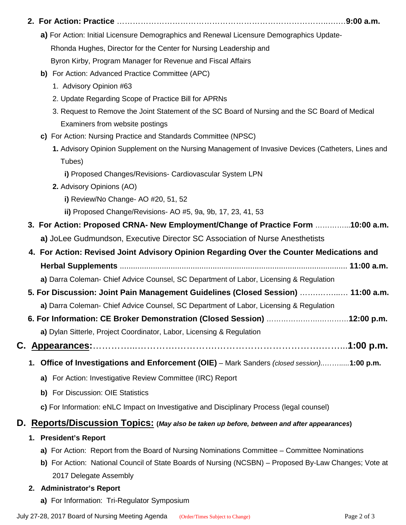|                                                                                          | a) For Action: Initial Licensure Demographics and Renewal Licensure Demographics Update-                                           |  |
|------------------------------------------------------------------------------------------|------------------------------------------------------------------------------------------------------------------------------------|--|
|                                                                                          | Rhonda Hughes, Director for the Center for Nursing Leadership and                                                                  |  |
|                                                                                          | Byron Kirby, Program Manager for Revenue and Fiscal Affairs                                                                        |  |
|                                                                                          | b) For Action: Advanced Practice Committee (APC)                                                                                   |  |
|                                                                                          | 1. Advisory Opinion #63                                                                                                            |  |
|                                                                                          | 2. Update Regarding Scope of Practice Bill for APRNs                                                                               |  |
|                                                                                          | 3. Request to Remove the Joint Statement of the SC Board of Nursing and the SC Board of Medical<br>Examiners from website postings |  |
|                                                                                          | c) For Action: Nursing Practice and Standards Committee (NPSC)                                                                     |  |
|                                                                                          | 1. Advisory Opinion Supplement on the Nursing Management of Invasive Devices (Catheters, Lines and<br>Tubes)                       |  |
|                                                                                          | i) Proposed Changes/Revisions- Cardiovascular System LPN                                                                           |  |
|                                                                                          | 2. Advisory Opinions (AO)                                                                                                          |  |
|                                                                                          | i) Review/No Change- AO #20, 51, 52                                                                                                |  |
|                                                                                          | ii) Proposed Change/Revisions- AO #5, 9a, 9b, 17, 23, 41, 53                                                                       |  |
|                                                                                          | 3. For Action: Proposed CRNA- New Employment/Change of Practice Form 10:00 a.m.                                                    |  |
|                                                                                          | a) JoLee Gudmundson, Executive Director SC Association of Nurse Anesthetists                                                       |  |
| 4. For Action: Revised Joint Advisory Opinion Regarding Over the Counter Medications and |                                                                                                                                    |  |
|                                                                                          |                                                                                                                                    |  |
|                                                                                          | a) Darra Coleman- Chief Advice Counsel, SC Department of Labor, Licensing & Regulation                                             |  |
|                                                                                          | 5. For Discussion: Joint Pain Management Guidelines (Closed Session)  11:00 a.m.                                                   |  |
|                                                                                          | a) Darra Coleman- Chief Advice Counsel, SC Department of Labor, Licensing & Regulation                                             |  |
|                                                                                          | 6. For Information: CE Broker Demonstration (Closed Session) 12:00 p.m.                                                            |  |
|                                                                                          | a) Dylan Sitterle, Project Coordinator, Labor, Licensing & Regulation                                                              |  |
| С.                                                                                       |                                                                                                                                    |  |
|                                                                                          | Office of Investigations and Enforcement (OIE) - Mark Sanders (closed session)1:00 p.m.<br>1.                                      |  |
|                                                                                          | a) For Action: Investigative Review Committee (IRC) Report                                                                         |  |
|                                                                                          | b) For Discussion: OIE Statistics                                                                                                  |  |
|                                                                                          | c) For Information: eNLC Impact on Investigative and Disciplinary Process (legal counsel)                                          |  |
| D.                                                                                       | Reports/Discussion Topics: (May also be taken up before, between and after appearances)                                            |  |
|                                                                                          | <b>President's Report</b><br>1.                                                                                                    |  |
|                                                                                          |                                                                                                                                    |  |

- **a)** For Action: Report from the Board of Nursing Nominations Committee Committee Nominations
- **b)** For Action: National Council of State Boards of Nursing (NCSBN) Proposed By-Law Changes; Vote at 2017 Delegate Assembly
- **2. Administrator's Report** 
	- **a)** For Information: Tri-Regulator Symposium